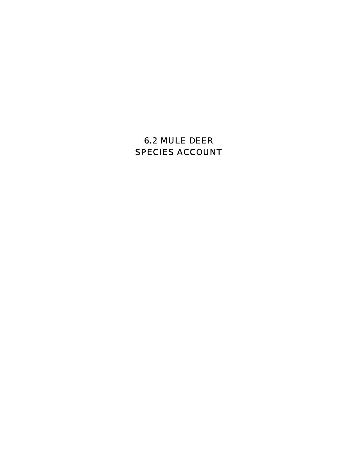# 6.2 MULE DEER SPECIES ACCOUNT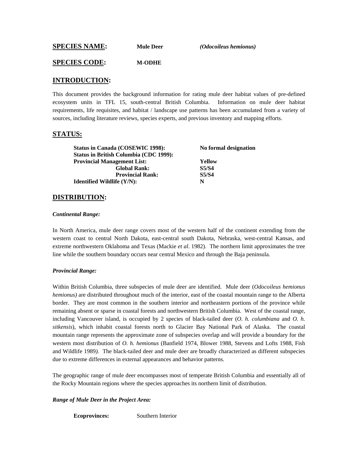**SPECIES NAME: Mule Deer** *(Odocoileus hemionus)*

#### **SPECIES CODE: M-ODHE**

### **INTRODUCTION:**

This document provides the background information for rating mule deer habitat values of pre-defined ecosystem units in TFL 15, south-central British Columbia. Information on mule deer habitat requirements, life requisites, and habitat / landscape use patterns has been accumulated from a variety of sources, including literature reviews, species experts, and previous inventory and mapping efforts.

### **STATUS:**

Status in Canada (COSEWIC 1998): No formal designation **Status in British Columbia (CDC 1999): Provincial Management List: Yellow Global Rank: S5/S4 Provincial Rank: S5/S4 Identified Wildlife (Y/N):** N

#### **DISTRIBUTION:**

#### *Continental Range:*

In North America, mule deer range covers most of the western half of the continent extending from the western coast to central North Dakota, east-central south Dakota, Nebraska, west-central Kansas, and extreme northwestern Oklahoma and Texas (Mackie *et al*. 1982). The northern limit approximates the tree line while the southern boundary occurs near central Mexico and through the Baja peninsula.

#### *Provincial Range:*

Within British Columbia, three subspecies of mule deer are identified. Mule deer (*Odocoileus hemionus hemionus)* are distributed throughout much of the interior, east of the coastal mountain range to the Alberta border. They are most common in the southern interior and northeastern portions of the province while remaining absent or sparse in coastal forests and northwestern British Columbia. West of the coastal range, including Vancouver island, is occupied by 2 species of black-tailed deer (*O. h. columbiana* and *O. h. sitkensis*), which inhabit coastal forests north to Glacier Bay National Park of Alaska. The coastal mountain range represents the approximate zone of subspecies overlap and will provide a boundary for the western most distribution of *O. h. hemionus* (Banfield 1974, Blower 1988, Stevens and Lofts 1988, Fish and Wildlife 1989*).* The black-tailed deer and mule deer are broadly characterized as different subspecies due to extreme differences in external appearances and behavior patterns.

The geographic range of mule deer encompasses most of temperate British Columbia and essentially all of the Rocky Mountain regions where the species approaches its northern limit of distribution.

#### *Range of Mule Deer in the Project Area:*

**Ecoprovinces:** Southern Interior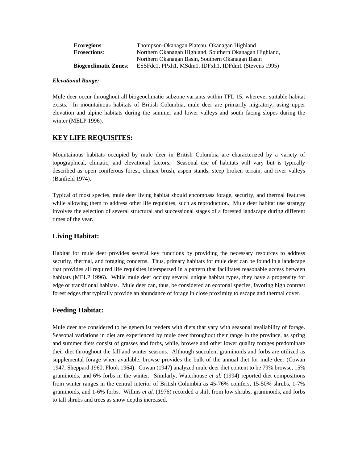| <b>Ecoregions:</b>           | Thompson-Okanagan Plateau, Okanagan Highland            |  |  |
|------------------------------|---------------------------------------------------------|--|--|
| <b>Ecosections:</b>          | Northern Okanagan Highland, Southern Okanagan Highland, |  |  |
|                              | Northern Okanagan Basin, Southern Okanagan Basin        |  |  |
| <b>Biogeoclimatic Zones:</b> | ESSFdc1, PPxh1, MSdm1, IDFxh1, IDFdm1 (Stevens 1995)    |  |  |

#### *Elevational Range:*

Mule deer occur throughout all biogeoclimatic subzone variants within TFL 15, wherever suitable habitat exists. In mountainous habitats of British Columbia, mule deer are primarily migratory, using upper elevation and alpine habitats during the summer and lower valleys and south facing slopes during the winter (MELP 1996).

## **KEY LIFE REQUISITES:**

Mountainous habitats occupied by mule deer in British Columbia are characterized by a variety of topographical, climatic, and elevational factors. Seasonal use of habitats will vary but is typically described as open coniferous forest, climax brush, aspen stands, steep broken terrain, and river valleys (Banfield 1974).

Typical of most species, mule deer living habitat should encompass forage, security, and thermal features while allowing them to address other life requisites, such as reproduction. Mule deer habitat use strategy involves the selection of several structural and successional stages of a forested landscape during different times of the year.

## **Living Habitat:**

Habitat for mule deer provides several key functions by providing the necessary resources to address security, thermal, and foraging concerns. Thus, primary habitats for mule deer can be found in a landscape that provides all required life requisites interspersed in a pattern that facilitates reasonable access between habitats (MELP 1996). While mule deer occupy several unique habitat types, they have a propensity for edge or transitional habitats. Mule deer can, thus, be considered an ecotonal species, favoring high contrast forest edges that typically provide an abundance of forage in close proximity to escape and thermal cover.

## **Feeding Habitat:**

Mule deer are considered to be generalist feeders with diets that vary with seasonal availability of forage. Seasonal variations in diet are experienced by mule deer throughout their range in the province, as spring and summer diets consist of grasses and forbs, while, browse and other lower quality forages predominate their diet throughout the fall and winter seasons. Although succulent graminoids and forbs are utilized as supplemental forage when available, browse provides the bulk of the annual diet for mule deer (Cowan 1947, Sheppard 1960, Flook 1964). Cowan (1947) analyzed mule deer diet content to be 79% browse, 15% graminoids, and 6% forbs in the winter. Similarly, Waterhouse *et al.* (1994) reported diet compositions from winter ranges in the central interior of British Columbia as 45-76% conifers, 15-50% shrubs, 1-7% graminoids, and 1-6% forbs. Willms *et al.* (1976) recorded a shift from low shrubs, graminoids, and forbs to tall shrubs and trees as snow depths increased.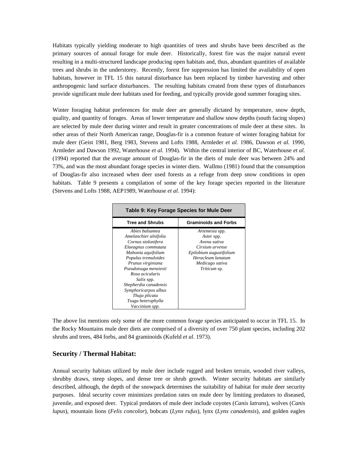Habitats typically yielding moderate to high quantities of trees and shrubs have been described as the primary sources of annual forage for mule deer. Historically, forest fire was the major natural event resulting in a multi-structured landscape producing open habitats and, thus, abundant quantities of available trees and shrubs in the understorey. Recently, forest fire suppression has limited the availability of open habitats, however in TFL 15 this natural disturbance has been replaced by timber harvesting and other anthropogenic land surface disturbances. The resulting habitats created from these types of disturbances provide significant mule deer habitats used for feeding, and typically provide good summer foraging sites.

Winter foraging habitat preferences for mule deer are generally dictated by temperature, snow depth, quality, and quantity of forages. Areas of lower temperature and shallow snow depths (south facing slopes) are selected by mule deer during winter and result in greater concentrations of mule deer at these sites. In other areas of their North American range, Douglas-fir is a common feature of winter foraging habitat for mule deer (Geist 1981, Berg 1983, Stevens and Lofts 1988, Armleder *et al.* 1986, Dawson *et al.* 1990, Armleder and Dawson 1992, Waterhouse *et al.* 1994). Within the central interior of BC, Waterhouse *et al.* (1994) reported that the average amount of Douglas-fir in the diets of mule deer was between 24% and 73%, and was the most abundant forage species in winter diets. Wallmo (1981) found that the consumption of Douglas-fir also increased when deer used forests as a refuge from deep snow conditions in open habitats. Table 9 presents a compilation of some of the key forage species reported in the literature (Stevens and Lofts 1988, AEP1989, Waterhouse *et al*. 1994):

| Table 9: Key Forage Species for Mule Deer                                                                                                                                                                                                                                                                                         |                                                                                                                                                           |  |  |  |  |
|-----------------------------------------------------------------------------------------------------------------------------------------------------------------------------------------------------------------------------------------------------------------------------------------------------------------------------------|-----------------------------------------------------------------------------------------------------------------------------------------------------------|--|--|--|--|
| <b>Tree and Shrubs</b>                                                                                                                                                                                                                                                                                                            | <b>Graminoids and Forbs</b>                                                                                                                               |  |  |  |  |
| Abies balsamea<br>Amelanchier alnifolia<br>Cornus stolonifera<br>Elaeagnus commutata<br>Mahonia aquifolium<br>Populus tremuloides<br>Prunus virginiana<br>Pseudotsuga menziesii<br>Rosa acicularis<br><i>Salix</i> spp.<br>Shepherdia canadensis<br>Symphoricarpos albus<br>Thuja plicata<br>Tsuga heterophylla<br>Vaccinium spp. | Artemesia spp.<br>Aster spp.<br>Avena sativa<br>Cirsium arvense<br>Epilobium augustifolium<br>Heracleum lanatum<br>Medicago sativa<br><i>Triticum</i> sp. |  |  |  |  |

The above list mentions only some of the more common forage species anticipated to occur in TFL 15. In the Rocky Mountains mule deer diets are comprised of a diversity of over 750 plant species, including 202 shrubs and trees, 484 forbs, and 84 graminoids (Kufeld *et al*. 1973).

## **Security / Thermal Habitat:**

Annual security habitats utilized by mule deer include rugged and broken terrain, wooded river valleys, shrubby draws, steep slopes, and dense tree or shrub growth. Winter security habitats are similarly described, although, the depth of the snowpack determines the suitability of habitat for mule deer security purposes. Ideal security cover minimizes predation rates on mule deer by limiting predators to diseased, juvenile, and exposed deer. Typical predators of mule deer include coyotes (*Canis latrans*), wolves (*Canis lupus*), mountain lions (*Felis concolor*), bobcats (*Lynx rufus*), lynx (*Lynx canadensis*), and golden eagles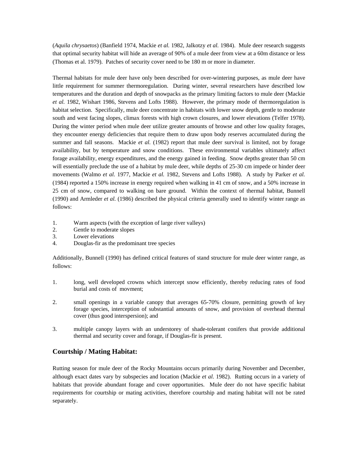(*Aquila chrysaetos*) (Banfield 1974, Mackie *et al.* 1982, Jalkotzy *et al.* 1984). Mule deer research suggests that optimal security habitat will hide an average of 90% of a mule deer from view at a 60m distance or less (Thomas et al. 1979). Patches of security cover need to be 180 m or more in diameter.

Thermal habitats for mule deer have only been described for over-wintering purposes, as mule deer have little requirement for summer thermoregulation. During winter, several researchers have described low temperatures and the duration and depth of snowpacks as the primary limiting factors to mule deer (Mackie *et al.* 1982, Wishart 1986, Stevens and Lofts 1988). However, the primary mode of thermoregulation is habitat selection. Specifically, mule deer concentrate in habitats with lower snow depth, gentle to moderate south and west facing slopes, climax forests with high crown closures, and lower elevations (Telfer 1978). During the winter period when mule deer utilize greater amounts of browse and other low quality forages, they encounter energy deficiencies that require them to draw upon body reserves accumulated during the summer and fall seasons. Mackie *et al.* (1982) report that mule deer survival is limited, not by forage availability, but by temperature and snow conditions. These environmental variables ultimately affect forage availability, energy expenditures, and the energy gained in feeding. Snow depths greater than 50 cm will essentially preclude the use of a habitat by mule deer, while depths of 25-30 cm impede or hinder deer movements (Walmo *et al.* 1977, Mackie *et al.* 1982, Stevens and Lofts 1988). A study by Parker *et al.* (1984) reported a 150% increase in energy required when walking in 41 cm of snow, and a 50% increase in 25 cm of snow, compared to walking on bare ground. Within the context of thermal habitat, Bunnell (1990) and Armleder *et al.* (1986) described the physical criteria generally used to identify winter range as follows:

- 1. Warm aspects (with the exception of large river valleys)
- 2. Gentle to moderate slopes
- 3. Lower elevations
- 4. Douglas-fir as the predominant tree species

Additionally, Bunnell (1990) has defined critical features of stand structure for mule deer winter range, as follows:

- 1. long, well developed crowns which intercept snow efficiently, thereby reducing rates of food burial and costs of movment;
- 2. small openings in a variable canopy that averages 65-70% closure, permitting growth of key forage species, interception of substantial amounts of snow, and provision of overhead thermal cover (thus good interspersion); and
- 3. multiple canopy layers with an understorey of shade-tolerant conifers that provide additional thermal and security cover and forage, if Douglas-fir is present.

## **Courtship / Mating Habitat:**

Rutting season for mule deer of the Rocky Mountains occurs primarily during November and December, although exact dates vary by subspecies and location (Mackie *et al*. 1982). Rutting occurs in a variety of habitats that provide abundant forage and cover opportunities. Mule deer do not have specific habitat requirements for courtship or mating activities, therefore courtship and mating habitat will not be rated separately.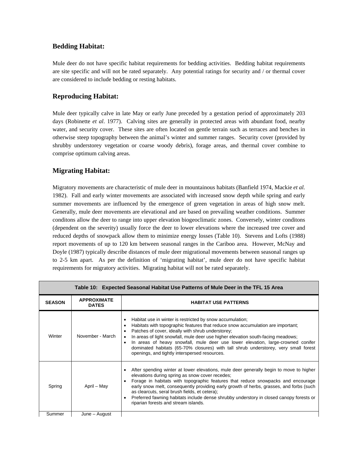## **Bedding Habitat:**

Mule deer do not have specific habitat requirements for bedding activities. Bedding habitat requirements are site specific and will not be rated separately. Any potential ratings for security and / or thermal cover are considered to include bedding or resting habitats.

## **Reproducing Habitat:**

Mule deer typically calve in late May or early June preceded by a gestation period of approximately 203 days (Robinette *et al*. 1977). Calving sites are generally in protected areas with abundant food, nearby water, and security cover. These sites are often located on gentle terrain such as terraces and benches in otherwise steep topography between the animal's winter and summer ranges. Security cover (provided by shrubby understorey vegetation or coarse woody debris), forage areas, and thermal cover combine to comprise optimum calving areas.

# **Migrating Habitat:**

Migratory movements are characteristic of mule deer in mountainous habitats (Banfield 1974, Mackie *et al.* 1982). Fall and early winter movements are associated with increased snow depth while spring and early summer movements are influenced by the emergence of green vegetation in areas of high snow melt. Generally, mule deer movements are elevational and are based on prevailing weather conditions. Summer conditons allow the deer to range into upper elevation biogeoclimatic zones. Conversely, winter conditons (dependent on the severity) usually force the deer to lower elevations where the increased tree cover and reduced depths of snowpack allow them to minimize energy losses (Table 10). Stevens and Lofts (1988) report movements of up to 120 km between seasonal ranges in the Cariboo area. However, McNay and Doyle (1987) typically describe distances of mule deer migrational movements between seasonal ranges up to 2-5 km apart. As per the definition of 'migrating habitat', mule deer do not have specific habitat requirements for migratory activities. Migrating habitat will not be rated separately.

| Table 10: Expected Seasonal Habitat Use Patterns of Mule Deer in the TFL 15 Area |                                    |                                                                                                                                                                                                                                                                                                                                                                                                                                                                                                                   |  |  |
|----------------------------------------------------------------------------------|------------------------------------|-------------------------------------------------------------------------------------------------------------------------------------------------------------------------------------------------------------------------------------------------------------------------------------------------------------------------------------------------------------------------------------------------------------------------------------------------------------------------------------------------------------------|--|--|
| <b>SEASON</b>                                                                    | <b>APPROXIMATE</b><br><b>DATES</b> | <b>HABITAT USE PATTERNS</b>                                                                                                                                                                                                                                                                                                                                                                                                                                                                                       |  |  |
| Winter                                                                           | November - March                   | Habitat use in winter is restricted by snow accumulation;<br>Habitats with topographic features that reduce snow accumulation are important;<br>Patches of cover, ideally with shrub understorey;<br>In areas of light snowfall, mule deer use higher elevation south-facing meadows;<br>In areas of heavy snowfall, mule deer use lower elevation, large-crowned conifer<br>dominated habitats (65-70% closures) with tall shrub understorey, very small forest<br>openings, and tightly interspersed resources. |  |  |
| Spring                                                                           | April - May                        | After spending winter at lower elevations, mule deer generally begin to move to higher<br>elevations during spring as snow cover recedes;<br>Forage in habitats with topographic features that reduce snowpacks and encourage<br>early snow melt, consequently providing early growth of herbs, grasses, and forbs (such<br>as clearcuts, seral brush fields, et cetera);<br>Preferred fawning habitats include dense shrubby understory in closed canopy forests or<br>riparian forests and stream islands.      |  |  |
| Summer                                                                           | June – August                      |                                                                                                                                                                                                                                                                                                                                                                                                                                                                                                                   |  |  |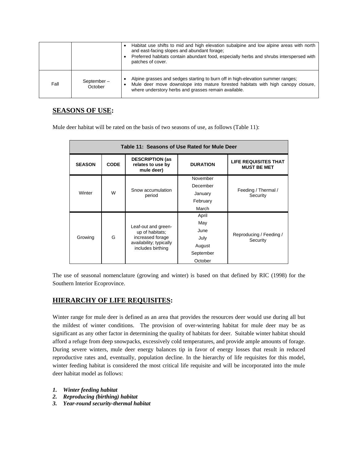|      |                       | Habitat use shifts to mid and high elevation subalpine and low alpine areas with north<br>and east-facing slopes and abundant forage;<br>Preferred habitats contain abundant food, especially herbs and shrubs interspersed with<br>patches of cover. |
|------|-----------------------|-------------------------------------------------------------------------------------------------------------------------------------------------------------------------------------------------------------------------------------------------------|
| Fall | September-<br>October | Alpine grasses and sedges starting to burn off in high-elevation summer ranges;<br>Mule deer move downslope into mature forested habitats with high canopy closure,<br>where understory herbs and grasses remain available.                           |

# **SEASONS OF USE:**

Mule deer habitat will be rated on the basis of two seasons of use, as follows (Table 11):

| Table 11: Seasons of Use Rated for Mule Deer |             |                                                                                                            |                 |                                            |  |
|----------------------------------------------|-------------|------------------------------------------------------------------------------------------------------------|-----------------|--------------------------------------------|--|
| <b>SEASON</b>                                | <b>CODE</b> | <b>DESCRIPTION (as</b><br>relates to use by<br>mule deer)                                                  | <b>DURATION</b> | LIFE REQUISITES THAT<br><b>MUST BE MET</b> |  |
|                                              |             |                                                                                                            | November        |                                            |  |
|                                              |             | Snow accumulation<br>period                                                                                | December        | Feeding / Thermal /<br>Security            |  |
| W<br>Winter                                  |             |                                                                                                            | January         |                                            |  |
|                                              |             |                                                                                                            | February        |                                            |  |
|                                              |             |                                                                                                            | March           |                                            |  |
|                                              |             |                                                                                                            | April           |                                            |  |
| Growing                                      |             | Leaf-out and green-<br>up of habitats;<br>increased forage<br>availability; typically<br>includes birthing | May             | Reproducing / Feeding /<br>Security        |  |
|                                              |             |                                                                                                            | June            |                                            |  |
|                                              | G           |                                                                                                            | July            |                                            |  |
|                                              |             |                                                                                                            | August          |                                            |  |
|                                              |             |                                                                                                            | September       |                                            |  |
|                                              |             |                                                                                                            | October         |                                            |  |

The use of seasonal nomenclature (growing and winter) is based on that defined by RIC (1998) for the Southern Interior Ecoprovince.

## **HIERARCHY OF LIFE REQUISITES:**

Winter range for mule deer is defined as an area that provides the resources deer would use during all but the mildest of winter conditions. The provision of over-wintering habitat for mule deer may be as significant as any other factor in determining the quality of habitats for deer. Suitable winter habitat should afford a refuge from deep snowpacks, excessively cold temperatures, and provide ample amounts of forage. During severe winters, mule deer energy balances tip in favor of energy losses that result in reduced reproductive rates and, eventually, population decline. In the hierarchy of life requisites for this model, winter feeding habitat is considered the most critical life requisite and will be incorporated into the mule deer habitat model as follows:

- *1. Winter feeding habitat*
- *2. Reproducing (birthing) habitat*
- *3. Year-round security-thermal habitat*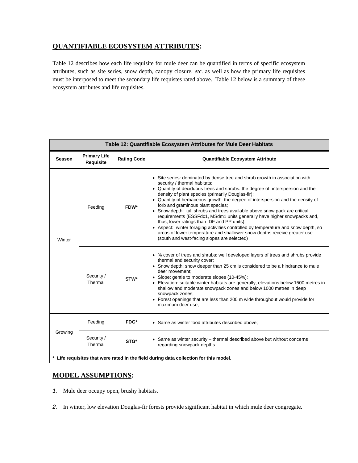# **QUANTIFIABLE ECOSYSTEM ATTRIBUTES:**

Table 12 describes how each life requisite for mule deer can be quantified in terms of specific ecosystem attributes, such as site series, snow depth, canopy closure, *etc*. as well as how the primary life requisites must be interposed to meet the secondary life requistes rated above. Table 12 below is a summary of these ecosystem attributes and life requisites.

| Table 12: Quantifiable Ecosystem Attributes for Mule Deer Habitats                    |                                         |                    |                                                                                                                                                                                                                                                                                                                                                                                                                                                                                                                                                                                                                                                                                                                                                                                                   |
|---------------------------------------------------------------------------------------|-----------------------------------------|--------------------|---------------------------------------------------------------------------------------------------------------------------------------------------------------------------------------------------------------------------------------------------------------------------------------------------------------------------------------------------------------------------------------------------------------------------------------------------------------------------------------------------------------------------------------------------------------------------------------------------------------------------------------------------------------------------------------------------------------------------------------------------------------------------------------------------|
| Season                                                                                | <b>Primary Life</b><br><b>Requisite</b> | <b>Rating Code</b> | Quantifiable Ecosystem Attribute                                                                                                                                                                                                                                                                                                                                                                                                                                                                                                                                                                                                                                                                                                                                                                  |
| Winter                                                                                | Feeding                                 | FDW*               | • Site series: dominated by dense tree and shrub growth in association with<br>security / thermal habitats;<br>• Quantity of deciduous trees and shrubs: the degree of interspersion and the<br>density of plant species (primarily Douglas-fir);<br>• Quantity of herbaceous growth: the degree of interspersion and the density of<br>forb and graminous plant species;<br>• Snow depth: tall shrubs and trees available above snow pack are critical<br>requirements (ESSFdc1, MSdm1 units generally have higher snowpacks and,<br>thus, lower ratings than IDF and PP units);<br>• Aspect: winter foraging activities controlled by temperature and snow depth, so<br>areas of lower temperature and shallower snow depths receive greater use<br>(south and west-facing slopes are selected) |
|                                                                                       | Security /<br>Thermal                   | STW*               | • % cover of trees and shrubs: well developed layers of trees and shrubs provide<br>thermal and security cover;<br>• Snow depth: snow deeper than 25 cm is considered to be a hindrance to mule<br>deer movement;<br>• Slope: gentle to moderate slopes (10-45%);<br>• Elevation: suitable winter habitats are generally, elevations below 1500 metres in<br>shallow and moderate snowpack zones and below 1000 metres in deep<br>snowpack zones;<br>• Forest openings that are less than 200 m wide throughout would provide for<br>maximum deer use;                                                                                                                                                                                                                                            |
|                                                                                       | Feeding                                 | FDG*               | • Same as winter food attributes described above;                                                                                                                                                                                                                                                                                                                                                                                                                                                                                                                                                                                                                                                                                                                                                 |
| Growing                                                                               | Security /<br>Thermal                   | STG*               | • Same as winter security – thermal described above but without concerns<br>regarding snowpack depths.                                                                                                                                                                                                                                                                                                                                                                                                                                                                                                                                                                                                                                                                                            |
| * Life requisites that were rated in the field during data collection for this model. |                                         |                    |                                                                                                                                                                                                                                                                                                                                                                                                                                                                                                                                                                                                                                                                                                                                                                                                   |

# **MODEL ASSUMPTIONS:**

- *1.* Mule deer occupy open, brushy habitats.
- *2.* In winter, low elevation Douglas-fir forests provide significant habitat in which mule deer congregate.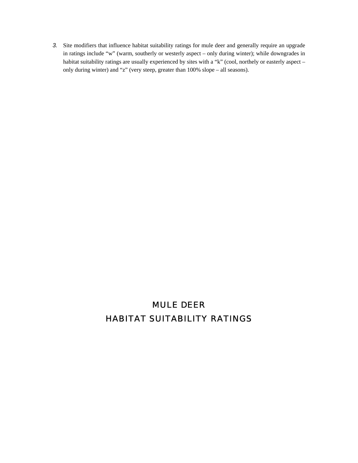*3.* Site modifiers that influence habitat suitability ratings for mule deer and generally require an upgrade in ratings include "w" (warm, southerly or westerly aspect – only during winter); while downgrades in habitat suitability ratings are usually experienced by sites with a "k" (cool, northely or easterly aspect – only during winter) and "z" (very steep, greater than 100% slope – all seasons).

# MULE DEER HABITAT SUITABILITY RATINGS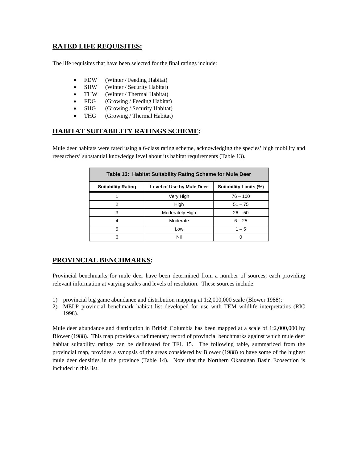# **RATED LIFE REQUISITES:**

The life requisites that have been selected for the final ratings include:

- FDW (Winter / Feeding Habitat)
- SHW (Winter / Security Habitat)
- THW (Winter / Thermal Habitat)
- FDG (Growing / Feeding Habitat)
- SHG (Growing / Security Habitat)
- THG (Growing / Thermal Habitat)

# **HABITAT SUITABILITY RATINGS SCHEME:**

Mule deer habitats were rated using a 6-class rating scheme, acknowledging the species' high mobility and researchers' substantial knowledge level about its habitat requirements (Table 13).

| Table 13: Habitat Suitability Rating Scheme for Mule Deer |                           |            |  |
|-----------------------------------------------------------|---------------------------|------------|--|
| <b>Suitability Rating</b>                                 | Level of Use by Mule Deer |            |  |
|                                                           | Very High                 | $76 - 100$ |  |
| 2                                                         | High                      | $51 - 75$  |  |
| 3                                                         | Moderately High           | $26 - 50$  |  |
| 4                                                         | Moderate                  | $6 - 25$   |  |
| 5                                                         | Low                       | $1 - 5$    |  |
| 6                                                         | Nil                       |            |  |

# **PROVINCIAL BENCHMARKS:**

Provincial benchmarks for mule deer have been determined from a number of sources, each providing relevant information at varying scales and levels of resolution. These sources include:

- 1) provincial big game abundance and distribution mapping at 1:2,000,000 scale (Blower 1988);
- 2) MELP provincial benchmark habitat list developed for use with TEM wildlife interpretatins (RIC 1998).

Mule deer abundance and distribution in British Columbia has been mapped at a scale of 1:2,000,000 by Blower (1988). This map provides a rudimentary record of provincial benchmarks against which mule deer habitat suitability ratings can be delineated for TFL 15. The following table, summarized from the provincial map, provides a synopsis of the areas considered by Blower (1988) to have some of the highest mule deer densities in the province (Table 14). Note that the Northern Okanagan Basin Ecosection is included in this list.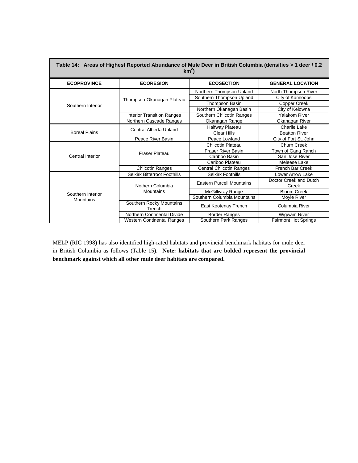| Table 14: Areas of Highest Reported Abundance of Mule Deer in British Columbia (densities > 1 deer / 0.2<br>$km2$ ) |                                    |                                  |                             |  |  |
|---------------------------------------------------------------------------------------------------------------------|------------------------------------|----------------------------------|-----------------------------|--|--|
| <b>ECOPROVINCE</b>                                                                                                  | <b>ECOREGION</b>                   | <b>GENERAL LOCATION</b>          |                             |  |  |
|                                                                                                                     |                                    | Northern Thompson Upland         | North Thompson River        |  |  |
|                                                                                                                     | Thompson-Okanagan Plateau          | Southern Thompson Upland         | City of Kamloops            |  |  |
| Southern Interior                                                                                                   |                                    | <b>Thompson Basin</b>            | Copper Creek                |  |  |
|                                                                                                                     |                                    | Northern Okanagan Basin          | City of Kelowna             |  |  |
|                                                                                                                     | <b>Interior Transition Ranges</b>  | Southern Chilcotin Ranges        | <b>Yalakom River</b>        |  |  |
|                                                                                                                     | Northern Cascade Ranges            | Okanagan Range                   | Okanagan River              |  |  |
|                                                                                                                     | Central Alberta Upland             | Halfway Plateau                  | Charlie Lake                |  |  |
| <b>Boreal Plains</b>                                                                                                |                                    | <b>Clear Hills</b>               | <b>Beatton River</b>        |  |  |
|                                                                                                                     | Peace River Basin                  | Peace Lowland                    | City of Fort St. John       |  |  |
|                                                                                                                     |                                    | Chilcotin Plateau                | Churn Creek                 |  |  |
|                                                                                                                     | <b>Fraser Plateau</b>              | <b>Fraser River Basin</b>        | Town of Gang Ranch          |  |  |
| <b>Central Interior</b>                                                                                             |                                    | Cariboo Basin                    | San Jose River              |  |  |
|                                                                                                                     |                                    | Cariboo Plateau                  | Meleese Lake                |  |  |
|                                                                                                                     | <b>Chilcotin Ranges</b>            | <b>Central Chilcotin Ranges</b>  | <b>French Bar Creek</b>     |  |  |
|                                                                                                                     | Selkirk Bitterroot Foothills       | <b>Selkirk Foothills</b>         | Lower Arrow Lake            |  |  |
|                                                                                                                     | Nothern Columbia                   | <b>Eastern Purcell Mountains</b> | Doctor Creek and Dutch      |  |  |
| Southern Interior                                                                                                   |                                    |                                  | Creek                       |  |  |
|                                                                                                                     | Mountains                          | McGillivray Range                | <b>Bloom Creek</b>          |  |  |
| <b>Mountains</b>                                                                                                    |                                    | Southern Columbia Mountains      | Moyie River                 |  |  |
|                                                                                                                     | Southern Rocky Mountains<br>Trench | East Kootenay Trench             | Columbia River              |  |  |
|                                                                                                                     | Northern Continental Divide        | Border Ranges                    | Wigwam River                |  |  |
|                                                                                                                     | <b>Western Continental Ranges</b>  | Southern Park Ranges             | <b>Fairmont Hot Springs</b> |  |  |

MELP (RIC 1998) has also identified high-rated habitats and provincial benchmark habitats for mule deer in British Columbia as follows (Table 15). **Note: habitats that are bolded represent the provincial benchmark against which all other mule deer habitats are compared.**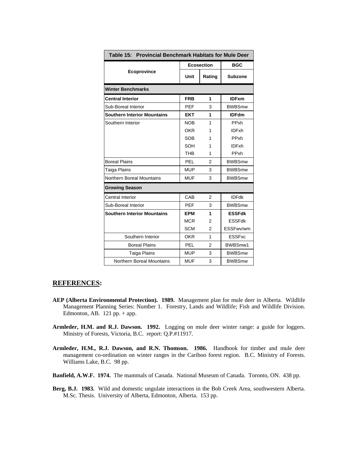| Table 15: Provincial Benchmark Habitats for Mule Deer |            |                   |                |
|-------------------------------------------------------|------------|-------------------|----------------|
|                                                       |            | <b>Ecosection</b> | <b>BGC</b>     |
| Ecoprovince                                           | Unit       | Rating            | <b>Subzone</b> |
| <b>Winter Benchmarks</b>                              |            |                   |                |
| <b>Central Interior</b>                               | <b>FRB</b> | 1                 | <b>IDFxm</b>   |
| Sub-Boreal Interior                                   | <b>PEF</b> | 3                 | <b>BWBSmw</b>  |
| <b>Southern Interior Mountains</b>                    | <b>EKT</b> | 1                 | <b>IDFdm</b>   |
| Southern Interior                                     | <b>NOB</b> | 1                 | PPxh           |
|                                                       | OKR        | 1                 | <b>IDFxh</b>   |
|                                                       | <b>SOB</b> | 1                 | PPxh           |
|                                                       | SOH        | 1                 | <b>IDFxh</b>   |
|                                                       | <b>THB</b> | 1                 | PPxh           |
| <b>Boreal Plains</b>                                  | PEL        | 2                 | <b>BWBSmw</b>  |
| Taiga Plains                                          | <b>MUP</b> | 3                 | <b>BWBSmw</b>  |
| Northern Boreal Mountains                             | <b>MUF</b> | 3                 | <b>BWBSmw</b>  |
| <b>Growing Season</b>                                 |            |                   |                |
| Central Interior                                      | CAB        | 2                 | <b>IDFdk</b>   |
| Sub-Boreal Interior                                   | <b>PEF</b> | 3                 | <b>BWBSmw</b>  |
| <b>Southern Interior Mountains</b>                    | EPM        | 1                 | <b>ESSFdk</b>  |
|                                                       | <b>MCR</b> | $\overline{2}$    | <b>ESSFdk</b>  |
|                                                       | <b>SCM</b> | $\overline{2}$    | ESSFwv/wm      |
| Southern Interior                                     | <b>OKR</b> | 1                 | <b>ESSFxc</b>  |
| <b>Boreal Plains</b>                                  | PEL        | 2                 | BWBSmw1        |
| Taiga Plains                                          | <b>MUP</b> | 3                 | <b>BWBSmw</b>  |
| Northern Boreal Mountains                             | <b>MUF</b> | 3                 | <b>BWBSmw</b>  |

#### **REFERENCES:**

- **AEP (Alberta Environmental Protection). 1989.** Management plan for mule deer in Alberta. Wildlife Management Planning Series: Number 1. Forestry, Lands and Wildlife; Fish and Wildlife Division. Edmonton, AB.  $121$  pp.  $+$  app.
- **Armleder, H.M. and R.J. Dawson. 1992.** Logging on mule deer winter range: a guide for loggers. Ministry of Forests, Victoria, B.C. report: Q.P.#11917.
- **Armleder, H.M., R.J. Dawson, and R.N. Thomson. 1986.** Handbook for timber and mule deer management co-ordination on winter ranges in the Cariboo forest region. B.C. Ministry of Forests. Williams Lake, B.C. 98 pp.
- **Banfield, A.W.F. 1974.** The mammals of Canada. National Museum of Canada. Toronto, ON. 438 pp.
- **Berg, B.J. 1983.** Wild and domestic ungulate interactions in the Bob Creek Area, southwestern Alberta. M.Sc. Thesis. University of Alberta, Edmonton, Alberta. 153 pp.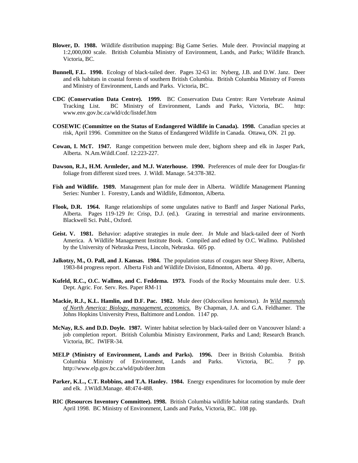- **Blower, D. 1988.** Wildlife distribution mapping: Big Game Series. Mule deer. Provincial mapping at 1:2,000,000 scale. British Columbia Ministry of Environment, Lands, and Parks; Wildife Branch. Victoria, BC.
- **Bunnell, F.L. 1990.** Ecology of black-tailed deer. Pages 32-63 in: Nyberg, J.B. and D.W. Janz. Deer and elk habitats in coastal forests of southern British Columbia. British Columbia Ministry of Forests and Ministry of Environment, Lands and Parks. Victoria, BC.
- **CDC (Conservation Data Centre). 1999.** BC Conservation Data Centre: Rare Vertebrate Animal Tracking List. BC Ministry of Environment, Lands and Parks, Victoria, BC. http: www.env.gov.bc.ca/wld/cdc/listdef.htm
- **COSEWIC (Committee on the Status of Endangered Wildlife in Canada). 1998.** Canadian species at risk, April 1996. Committee on the Status of Endangered Wildlife in Canada. Ottawa, ON. 21 pp.
- **Cowan, I. McT. 1947.** Range competition between mule deer, bighorn sheep and elk in Jasper Park, Alberta. N.Am.Wildl.Conf. 12:223-227.
- **Dawson, R.J., H.M. Armleder, and M.J. Waterhouse. 1990.** Preferences of mule deer for Douglas-fir foliage from different sized trees. J. Wildl. Manage. 54:378-382.
- Fish and Wildlife. 1989. Management plan for mule deer in Alberta. Wildlife Management Planning Series: Number 1. Forestry, Lands and Wildlife, Edmonton, Alberta.
- **Flook, D.R. 1964.** Range relationships of some ungulates native to Banff and Jasper National Parks, Alberta. Pages 119-129 *In*: Crisp, D.J. (ed.). Grazing in terrestrial and marine environments. Blackwell Sci. Publ., Oxford.
- **Geist. V. 1981.** Behavior: adaptive strategies in mule deer. *In* Mule and black-tailed deer of North America. A Wildlife Management Institute Book. Compiled and edited by O.C. Wallmo. Published by the University of Nebraska Press, Lincoln, Nebraska. 605 pp.
- **Jalkotzy, M., O. Pall, and J. Kansas. 1984.** The population status of cougars near Sheep River, Alberta, 1983-84 progress report. Alberta Fish and Wildlife Division, Edmonton, Alberta. 40 pp.
- **Kufeld, R.C., O.C. Wallmo, and C. Feddema. 1973.** Foods of the Rocky Mountains mule deer. U.S. Dept. Agric. For. Serv. Res. Paper RM-11
- **Mackie, R.J., K.L. Hamlin, and D.F. Pac. 1982.** Mule deer (*Odocoileus hemionus*). *In Wild mammals of North America: Biology, management, economics.* By Chapman, J.A. and G.A. Feldhamer. The Johns Hopkins University Press, Baltimore and London. 1147 pp.
- **McNay, R.S. and D.D. Doyle. 1987.** Winter habitat selection by black-tailed deer on Vancouver Island: a job completion report. British Columbia Ministry Environment, Parks and Land; Research Branch. Victoria, BC. IWIFR-34.
- **MELP (Ministry of Environment, Lands and Parks). 1996.** Deer in British Columbia. British Columbia Ministry of Environment, Lands and Parks. Victoria, BC. 7 pp. http://www.elp.gov.bc.ca/wld/pub/deer.htm
- **Parker, K.L., C.T. Robbins, and T.A. Hanley. 1984.** Energy expenditures for locomotion by mule deer and elk. J.Wildl.Manage. 48:474-488.
- **RIC (Resources Inventory Committee). 1998.** British Columbia wildlife habitat rating standards. Draft April 1998. BC Ministry of Environment, Lands and Parks, Victoria, BC. 108 pp.